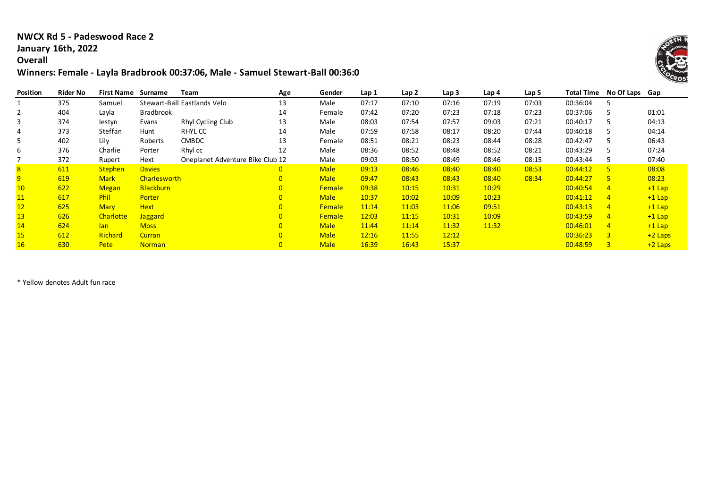#### **NWCX Rd 5 - Padeswood Race 2 January 16th, 2022**

#### **Overall**

# **Winners: Female - Layla Bradbrook 00:37:06, Male - Samuel Stewart-Ball 00:36:04**

| Position | Rider No | <b>First Name</b> | Surname          | <b>Team</b>                      | Age            | Gender        | Lap 1 | Lap 2 | Lap <sub>3</sub> | Lap 4 | Lap 5 | <b>Total Time</b> | No Of Laps Gap |           |
|----------|----------|-------------------|------------------|----------------------------------|----------------|---------------|-------|-------|------------------|-------|-------|-------------------|----------------|-----------|
|          | 375      | Samuel            |                  | Stewart-Ball Eastlands Velo      | 13             | Male          | 07:17 | 07:10 | 07:16            | 07:19 | 07:03 | 00:36:04          |                |           |
| 2        | 404      | Layla             | <b>Bradbrook</b> |                                  | 14             | Female        | 07:42 | 07:20 | 07:23            | 07:18 | 07:23 | 00:37:06          |                | 01:01     |
| 3        | 374      | lestyn            | Evans            | Rhyl Cycling Club                | 13             | Male          | 08:03 | 07:54 | 07:57            | 09:03 | 07:21 | 00:40:17          |                | 04:13     |
|          | 373      | Steffan           | Hunt             | RHYL CC                          | 14             | Male          | 07:59 | 07:58 | 08:17            | 08:20 | 07:44 | 00:40:18          |                | 04:14     |
| 5        | 402      | Lily              | Roberts          | <b>CMBDC</b>                     | 13             | Female        | 08:51 | 08:21 | 08:23            | 08:44 | 08:28 | 00:42:47          |                | 06:43     |
| 6        | 376      | Charlie           | Porter           | Rhyl cc                          | 12             | Male          | 08:36 | 08:52 | 08:48            | 08:52 | 08:21 | 00:43:29          |                | 07:24     |
|          | 372      | Rupert            | Hext             | Oneplanet Adventure Bike Club 12 |                | Male          | 09:03 | 08:50 | 08:49            | 08:46 | 08:15 | 00:43:44          |                | 07:40     |
| 8        | 611      | <b>Stephen</b>    | <b>Davies</b>    |                                  | 0              | <b>Male</b>   | 09:13 | 08:46 | 08:40            | 08:40 | 08:53 | 00:44:12          | -5.            | 08:08     |
| 9        | 619      | <b>Mark</b>       | Charlesworth     |                                  | $\overline{0}$ | <b>Male</b>   | 09:47 | 08:43 | 08:43            | 08:40 | 08:34 | 00:44:27          | <b>T51</b>     | 08:23     |
| 10       | 622      | <b>Megan</b>      | <b>Blackburn</b> |                                  | $\overline{0}$ | <b>Female</b> | 09:38 | 10:15 | 10:31            | 10:29 |       | 00:40:54          | $\overline{4}$ | $+1$ Lap  |
| 11       | 617      | <b>Phil</b>       | Porter           |                                  | $\overline{0}$ | <b>Male</b>   | 10:37 | 10:02 | 10:09            | 10:23 |       | 00:41:12          | $\overline{4}$ | $+1$ Lap  |
| 12       | 625      | <b>Mary</b>       | <b>Hext</b>      |                                  | $\overline{0}$ | <b>Female</b> | 11:14 | 11:03 | 11:06            | 09:51 |       | 00:43:13          | $\overline{4}$ | $+1$ Lap  |
| 13       | 626      | Charlotte         | <b>Jaggard</b>   |                                  | $\overline{0}$ | <b>Female</b> | 12:03 | 11:15 | 10:31            | 10:09 |       | 00:43:59          | $\overline{4}$ | $+1$ Lap  |
| 14       | 624      | lan.              | <b>Moss</b>      |                                  | $\overline{0}$ | <b>Male</b>   | 11:44 | 11:14 | 11:32            | 11:32 |       | 00:46:01          | $\overline{4}$ | $+1$ Lap  |
| 15       | 612      | <b>Richard</b>    | <b>Curran</b>    |                                  | $\overline{0}$ | <b>Male</b>   | 12:16 | 11:55 | 12:12            |       |       | 00:36:23          | $\overline{3}$ | $+2$ Laps |
| 16       | 630      | <b>Pete</b>       | <b>Norman</b>    |                                  | $\overline{0}$ | <b>Male</b>   | 16:39 | 16:43 | 15:37            |       |       | 00:48:59          | $\overline{3}$ | $+2$ Laps |

\* Yellow denotes Adult fun race

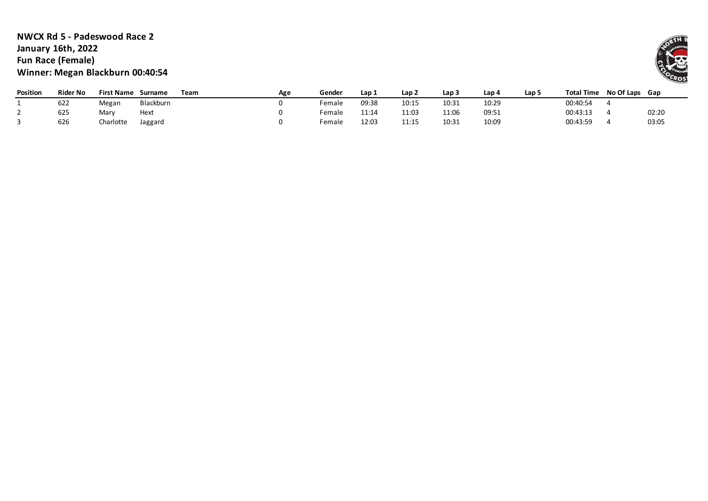## **NWCX Rd 5 - Padeswood Race 2 January 16th, 2022 Fun Race (Female) Winner: Megan Blackburn 00:40:54**

| <b>Position</b> | Rider No | <b>First Name</b> | Surname   | Team | Age | Gender | Lap 1 | Lap <sub>2</sub> | Lap 3 | ، Lap | Lap 5 | <b>Total Time</b> | No Of Laps Gap |       |
|-----------------|----------|-------------------|-----------|------|-----|--------|-------|------------------|-------|-------|-------|-------------------|----------------|-------|
|                 | 622      | Megan             | Blackburn |      |     | Female | 09:38 | 10:15            | 10:31 | 10:29 |       | 00:40:54          |                |       |
|                 | 625      | Mary              | Hext      |      |     | Female | 11:14 | 11:03            | 11:06 | 09:51 |       | 00:43:13          |                | 02:20 |
|                 | 626      | Charlotte         | Jaggard   |      |     | Female | 12:03 | 11:15            | 10:31 | 10:09 |       | 00:43:59          |                | 03:05 |

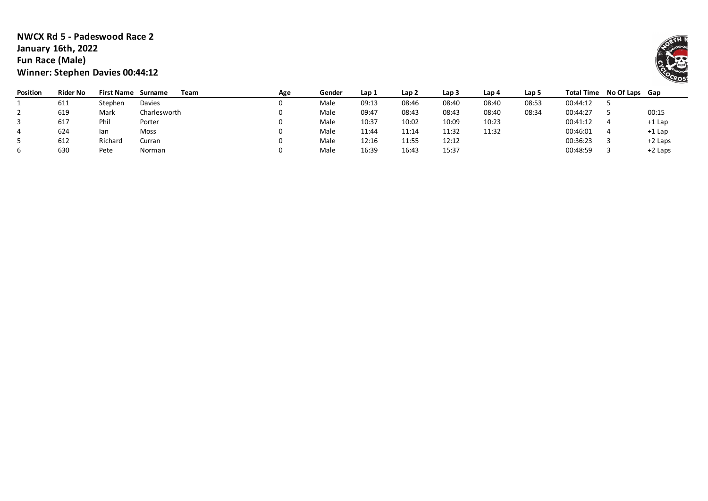## **NWCX Rd 5 - Padeswood Race 2 January 16th, 2022 Fun Race (Male) Winner: Stephen Davies 00:44:12**

| <b>Position</b> | <b>Rider No</b> | <b>First Name</b> | Team<br>Surname | Age | Gender | Lap 1 | Lap <sub>2</sub> | Lap 3 | Lap 4 | Lap 5 |          | Total Time No Of Laps Gap |           |
|-----------------|-----------------|-------------------|-----------------|-----|--------|-------|------------------|-------|-------|-------|----------|---------------------------|-----------|
|                 | 611             | Stephen           | Davies          |     | Male   | 09:13 | 08:46            | 08:40 | 08:40 | 08:53 | 00:44:12 |                           |           |
|                 | 619             | Mark              | Charlesworth    |     | Male   | 09:47 | 08:43            | 08:43 | 08:40 | 08:34 | 00:44:27 |                           | 00:15     |
|                 | 617             | Phil              | Porter          |     | Male   | 10:37 | 10:02            | 10:09 | 10:23 |       | 00:41:12 |                           | +1 Lap    |
|                 | 624             | lan               | <b>Moss</b>     |     | Male   | 11:44 | 11:14            | 11:32 | 11:32 |       | 00:46:01 |                           | +1 Lap    |
|                 | 612             | Richard           | Curran          |     | Male   | 12:16 | 11:55            | 12:12 |       |       | 00:36:23 |                           | $+2$ Laps |
|                 | 630             | Pete              | Norman          |     | Male   | 16:39 | 16:43            | 15:37 |       |       | 00:48:59 |                           | $+2$ Laps |

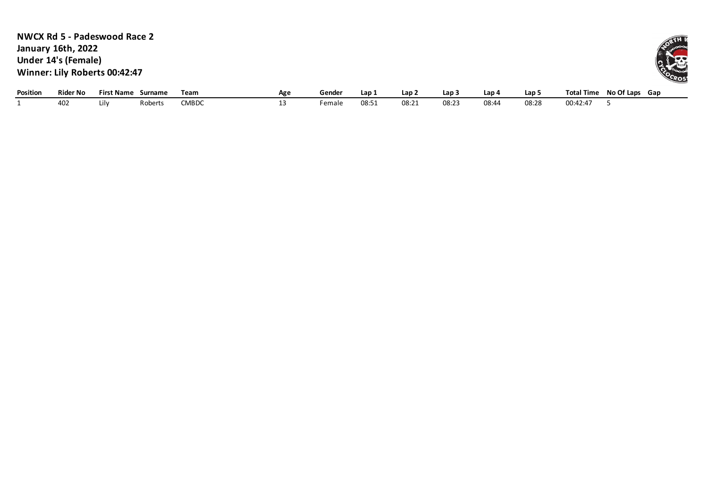**NWCX Rd 5 - Padeswood Race 2 January 16th, 2022 Under 14's (Female) Winner: Lily Roberts 00:42:47**

| Position | <b>Rider No</b> | $^{\circ}$ Name<br>rirs' | Surname | Team         | Age | Gender             | Lap.  | Lap.  | Lap 3 | ، Lap | Lap . | <b>Total Time</b> | No Of Laps<br>Gap |
|----------|-----------------|--------------------------|---------|--------------|-----|--------------------|-------|-------|-------|-------|-------|-------------------|-------------------|
|          | ⊾40             | Liiv                     | obert:  | <b>CMBDC</b> |     | <sup>:</sup> emale | 08:5. | 08:21 | 08:2  | 08:44 | 08:28 | 00:42:47          |                   |

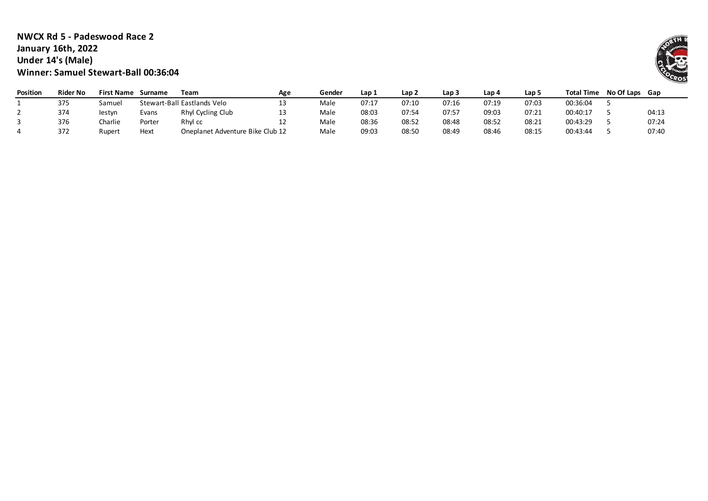### **NWCX Rd 5 - Padeswood Race 2 January 16th, 2022 Under 14's (Male) Winner: Samuel Stewart-Ball 00:36:04**

| <b>Position</b> | Rider No | <b>First Name</b> | Surname | Team                             | Age | Gender | Lap 1 | Lap <sub>2</sub> | Lap <sub>3</sub> | Lap 4 | Lap 5 | <b>Total Time</b> | No Of Laps Gap |       |
|-----------------|----------|-------------------|---------|----------------------------------|-----|--------|-------|------------------|------------------|-------|-------|-------------------|----------------|-------|
|                 | 375      | Samuel            |         | Stewart-Ball Eastlands Velo      |     | Male   | 07:17 | 07:10            | 07:16            | 07:19 | 07:03 | 00:36:04          |                |       |
|                 | 374      | lestyn            | Evans   | Rhyl Cycling Club                |     | Male   | 08:03 | 07:54            | 07:57            | 09:03 | 07:21 | 00:40:17          |                | 04:13 |
|                 | 376      | Charlie           | Porter  | Rhyl cc                          | ᆠ   | Male   | 08:36 | 08:52            | 08:48            | 08:52 | 08:21 | 00:43:29          |                | 07:24 |
|                 | 372      | Rupert            | Hext    | Oneplanet Adventure Bike Club 12 |     | Male   | 09:03 | 08:50            | 08:49            | 08:46 | 08:15 | 00:43:44          |                | 07:40 |

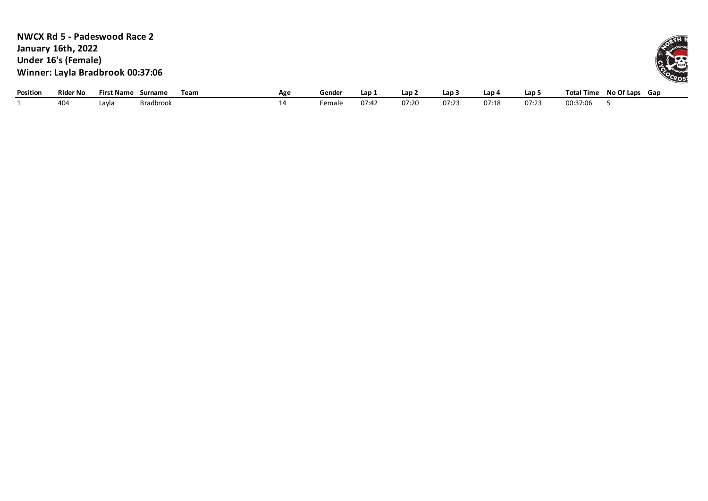| <b>NWCX Rd 5 - Padeswood Race 2</b> |
|-------------------------------------|
| <b>January 16th, 2022</b>           |
| Under 16's (Female)                 |
| Winner: Layla Bradbrook 00:37:06    |

| Position | Rider No | <b>First Name</b> | urname           | Team<br>Age | Gender | Lap   | Lap : | Lap 3         | Lap 4 | Lap !          | <b>Total</b><br><b>ા Time</b> | No Of Laps | Gap |
|----------|----------|-------------------|------------------|-------------|--------|-------|-------|---------------|-------|----------------|-------------------------------|------------|-----|
|          | 404      | Layla             | <b>Bradbrook</b> |             | Female | 07:42 | 07:20 | $\sim$ $\sim$ | 07:18 | $07:2^{\circ}$ | 00:37:06                      |            |     |